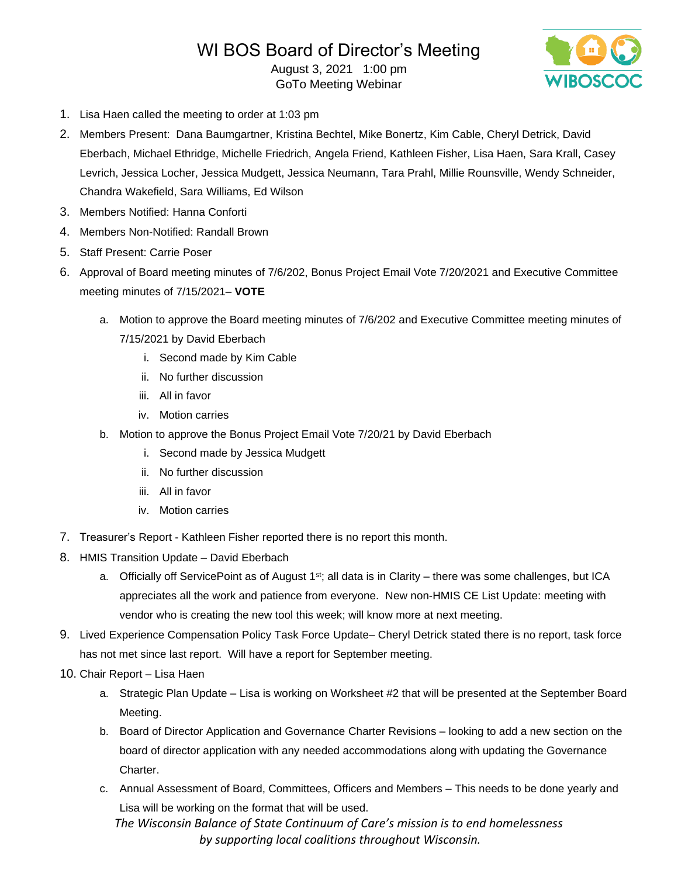# WI BOS Board of Director's Meeting

August 3, 2021 1:00 pm GoTo Meeting Webinar



- 1. Lisa Haen called the meeting to order at 1:03 pm
- 2. Members Present: Dana Baumgartner, Kristina Bechtel, Mike Bonertz, Kim Cable, Cheryl Detrick, David Eberbach, Michael Ethridge, Michelle Friedrich, Angela Friend, Kathleen Fisher, Lisa Haen, Sara Krall, Casey Levrich, Jessica Locher, Jessica Mudgett, Jessica Neumann, Tara Prahl, Millie Rounsville, Wendy Schneider, Chandra Wakefield, Sara Williams, Ed Wilson
- 3. Members Notified: Hanna Conforti
- 4. Members Non-Notified: Randall Brown
- 5. Staff Present: Carrie Poser
- 6. Approval of Board meeting minutes of 7/6/202, Bonus Project Email Vote 7/20/2021 and Executive Committee meeting minutes of 7/15/2021– **VOTE**
	- a. Motion to approve the Board meeting minutes of 7/6/202 and Executive Committee meeting minutes of 7/15/2021 by David Eberbach
		- i. Second made by Kim Cable
		- ii. No further discussion
		- iii. All in favor
		- iv. Motion carries
	- b. Motion to approve the Bonus Project Email Vote 7/20/21 by David Eberbach
		- i. Second made by Jessica Mudgett
		- ii. No further discussion
		- iii. All in favor
		- iv. Motion carries
- 7. Treasurer's Report Kathleen Fisher reported there is no report this month.
- 8. HMIS Transition Update David Eberbach
	- a. Officially off ServicePoint as of August 1<sup>st</sup>; all data is in Clarity there was some challenges, but ICA appreciates all the work and patience from everyone. New non-HMIS CE List Update: meeting with vendor who is creating the new tool this week; will know more at next meeting.
- 9. Lived Experience Compensation Policy Task Force Update– Cheryl Detrick stated there is no report, task force has not met since last report. Will have a report for September meeting.
- 10. Chair Report Lisa Haen
	- a. Strategic Plan Update Lisa is working on Worksheet #2 that will be presented at the September Board Meeting.
	- b. Board of Director Application and Governance Charter Revisions looking to add a new section on the board of director application with any needed accommodations along with updating the Governance Charter.
	- c. Annual Assessment of Board, Committees, Officers and Members This needs to be done yearly and Lisa will be working on the format that will be used.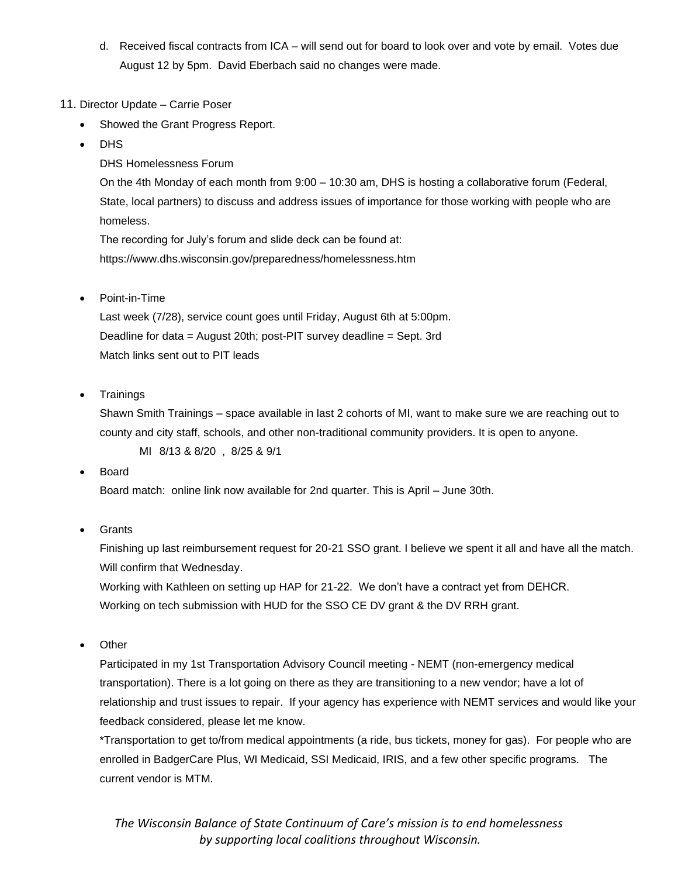- d. Received fiscal contracts from ICA will send out for board to look over and vote by email. Votes due August 12 by 5pm. David Eberbach said no changes were made.
- 11. Director Update Carrie Poser
	- Showed the Grant Progress Report.
	- DHS

DHS Homelessness Forum

On the 4th Monday of each month from 9:00 – 10:30 am, DHS is hosting a collaborative forum (Federal, State, local partners) to discuss and address issues of importance for those working with people who are homeless.

The recording for July's forum and slide deck can be found at: https://www.dhs.wisconsin.gov/preparedness/homelessness.htm

• Point-in-Time

Last week (7/28), service count goes until Friday, August 6th at 5:00pm. Deadline for data = August 20th; post-PIT survey deadline = Sept. 3rd Match links sent out to PIT leads

• Trainings

Shawn Smith Trainings – space available in last 2 cohorts of MI, want to make sure we are reaching out to county and city staff, schools, and other non-traditional community providers. It is open to anyone.

MI 8/13 & 8/20 , 8/25 & 9/1

• Board

Board match: online link now available for 2nd quarter. This is April – June 30th.

**Grants** 

Finishing up last reimbursement request for 20-21 SSO grant. I believe we spent it all and have all the match. Will confirm that Wednesday.

Working with Kathleen on setting up HAP for 21-22. We don't have a contract yet from DEHCR. Working on tech submission with HUD for the SSO CE DV grant & the DV RRH grant.

**Other** 

Participated in my 1st Transportation Advisory Council meeting - NEMT (non-emergency medical transportation). There is a lot going on there as they are transitioning to a new vendor; have a lot of relationship and trust issues to repair. If your agency has experience with NEMT services and would like your feedback considered, please let me know.

\*Transportation to get to/from medical appointments (a ride, bus tickets, money for gas). For people who are enrolled in BadgerCare Plus, WI Medicaid, SSI Medicaid, IRIS, and a few other specific programs. The current vendor is MTM.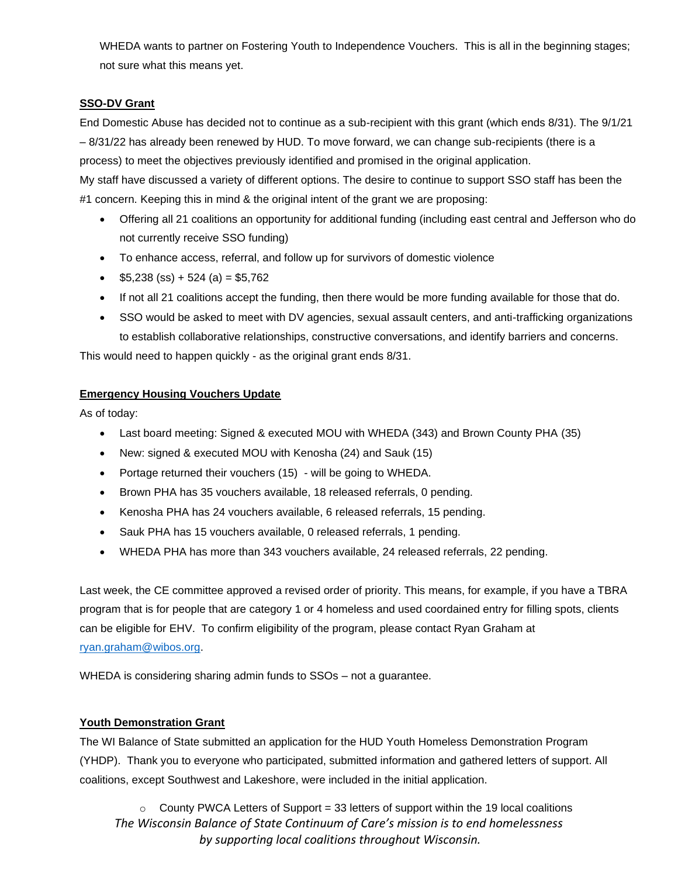WHEDA wants to partner on Fostering Youth to Independence Vouchers. This is all in the beginning stages; not sure what this means yet.

## **SSO-DV Grant**

End Domestic Abuse has decided not to continue as a sub-recipient with this grant (which ends 8/31). The 9/1/21 – 8/31/22 has already been renewed by HUD. To move forward, we can change sub-recipients (there is a process) to meet the objectives previously identified and promised in the original application.

My staff have discussed a variety of different options. The desire to continue to support SSO staff has been the #1 concern. Keeping this in mind & the original intent of the grant we are proposing:

- Offering all 21 coalitions an opportunity for additional funding (including east central and Jefferson who do not currently receive SSO funding)
- To enhance access, referral, and follow up for survivors of domestic violence
- $$5,238$  (ss) + 524 (a) = \$5,762
- If not all 21 coalitions accept the funding, then there would be more funding available for those that do.
- SSO would be asked to meet with DV agencies, sexual assault centers, and anti-trafficking organizations to establish collaborative relationships, constructive conversations, and identify barriers and concerns.

This would need to happen quickly - as the original grant ends 8/31.

### **Emergency Housing Vouchers Update**

As of today:

- Last board meeting: Signed & executed MOU with WHEDA (343) and Brown County PHA (35)
- New: signed & executed MOU with Kenosha (24) and Sauk (15)
- Portage returned their vouchers (15) will be going to WHEDA.
- Brown PHA has 35 vouchers available, 18 released referrals, 0 pending.
- Kenosha PHA has 24 vouchers available, 6 released referrals, 15 pending.
- Sauk PHA has 15 vouchers available, 0 released referrals, 1 pending.
- WHEDA PHA has more than 343 vouchers available, 24 released referrals, 22 pending.

Last week, the CE committee approved a revised order of priority. This means, for example, if you have a TBRA program that is for people that are category 1 or 4 homeless and used coordained entry for filling spots, clients can be eligible for EHV. To confirm eligibility of the program, please contact Ryan Graham at [ryan.graham@wibos.org.](mailto:ryan.graham@wibos.org)

WHEDA is considering sharing admin funds to SSOs – not a guarantee.

### **Youth Demonstration Grant**

The WI Balance of State submitted an application for the HUD Youth Homeless Demonstration Program (YHDP). Thank you to everyone who participated, submitted information and gathered letters of support. All coalitions, except Southwest and Lakeshore, were included in the initial application.

*The Wisconsin Balance of State Continuum of Care's mission is to end homelessness by supporting local coalitions throughout Wisconsin.*  $\circ$  County PWCA Letters of Support = 33 letters of support within the 19 local coalitions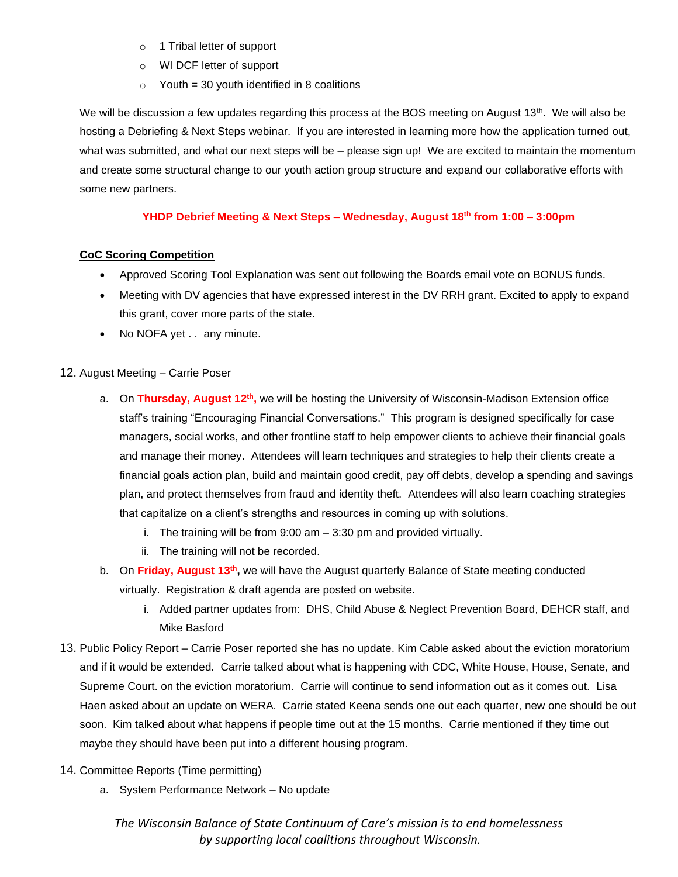- o 1 Tribal letter of support
- o WI DCF letter of support
- $\circ$  Youth = 30 youth identified in 8 coalitions

We will be discussion a few updates regarding this process at the BOS meeting on August 13<sup>th</sup>. We will also be hosting a Debriefing & Next Steps webinar. If you are interested in learning more how the application turned out, what was submitted, and what our next steps will be – please sign up! We are excited to maintain the momentum and create some structural change to our youth action group structure and expand our collaborative efforts with some new partners.

## **YHDP Debrief Meeting & Next Steps – Wednesday, August 18th from 1:00 – 3:00pm**

## **CoC Scoring Competition**

- Approved Scoring Tool Explanation was sent out following the Boards email vote on BONUS funds.
- Meeting with DV agencies that have expressed interest in the DV RRH grant. Excited to apply to expand this grant, cover more parts of the state.
- No NOFA yet . . any minute.

### 12. August Meeting – Carrie Poser

- a. On **Thursday, August 12th ,** we will be hosting the University of Wisconsin-Madison Extension office staff's training "Encouraging Financial Conversations." This program is designed specifically for case managers, social works, and other frontline staff to help empower clients to achieve their financial goals and manage their money. Attendees will learn techniques and strategies to help their clients create a financial goals action plan, build and maintain good credit, pay off debts, develop a spending and savings plan, and protect themselves from fraud and identity theft. Attendees will also learn coaching strategies that capitalize on a client's strengths and resources in coming up with solutions.
	- i. The training will be from 9:00 am 3:30 pm and provided virtually.
	- ii. The training will not be recorded.
- b. On **Friday, August 13th ,** we will have the August quarterly Balance of State meeting conducted virtually. Registration & draft agenda are posted on website.
	- i. Added partner updates from: DHS, Child Abuse & Neglect Prevention Board, DEHCR staff, and Mike Basford
- 13. Public Policy Report Carrie Poser reported she has no update. Kim Cable asked about the eviction moratorium and if it would be extended. Carrie talked about what is happening with CDC, White House, House, Senate, and Supreme Court. on the eviction moratorium. Carrie will continue to send information out as it comes out. Lisa Haen asked about an update on WERA. Carrie stated Keena sends one out each quarter, new one should be out soon. Kim talked about what happens if people time out at the 15 months. Carrie mentioned if they time out maybe they should have been put into a different housing program.
- 14. Committee Reports (Time permitting)
	- a. System Performance Network No update